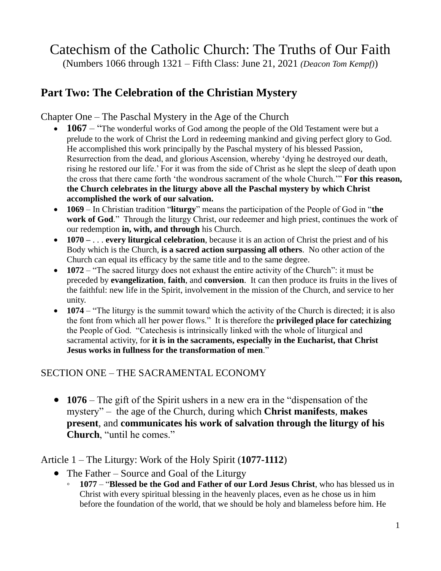# Catechism of the Catholic Church: The Truths of Our Faith

(Numbers 1066 through 1321 – Fifth Class: June 21, 2021 *(Deacon Tom Kempf)*)

## **Part Two: The Celebration of the Christian Mystery**

## Chapter One – The Paschal Mystery in the Age of the Church

- **1067** "The wonderful works of God among the people of the Old Testament were but a prelude to the work of Christ the Lord in redeeming mankind and giving perfect glory to God. He accomplished this work principally by the Paschal mystery of his blessed Passion, Resurrection from the dead, and glorious Ascension, whereby 'dying he destroyed our death, rising he restored our life.' For it was from the side of Christ as he slept the sleep of death upon the cross that there came forth 'the wondrous sacrament of the whole Church.'" **For this reason, the Church celebrates in the liturgy above all the Paschal mystery by which Christ accomplished the work of our salvation.**
- **1069** In Christian tradition "**liturgy**" means the participation of the People of God in "**the work of God**." Through the liturgy Christ, our redeemer and high priest, continues the work of our redemption **in, with, and through** his Church.
- **1070** . . . **every liturgical celebration**, because it is an action of Christ the priest and of his Body which is the Church, **is a sacred action surpassing all others**. No other action of the Church can equal its efficacy by the same title and to the same degree.
- **1072** "The sacred liturgy does not exhaust the entire activity of the Church": it must be preceded by **evangelization**, **faith**, and **conversion**. It can then produce its fruits in the lives of the faithful: new life in the Spirit, involvement in the mission of the Church, and service to her unity.
- **1074** "The liturgy is the summit toward which the activity of the Church is directed; it is also the font from which all her power flows." It is therefore the **privileged place for catechizing** the People of God. "Catechesis is intrinsically linked with the whole of liturgical and sacramental activity, for **it is in the sacraments, especially in the Eucharist, that Christ Jesus works in fullness for the transformation of men**."

## SECTION ONE – THE SACRAMENTAL ECONOMY

• **1076** – The gift of the Spirit ushers in a new era in the "dispensation of the mystery" – the age of the Church, during which **Christ manifests**, **makes present**, and **communicates his work of salvation through the liturgy of his Church**, "until he comes."

## Article 1 – The Liturgy: Work of the Holy Spirit (**1077-1112**)

- The Father Source and Goal of the Liturgy
	- **1077** "**Blessed be the God and Father of our Lord Jesus Christ**, who has blessed us in Christ with every spiritual blessing in the heavenly places, even as he chose us in him before the foundation of the world, that we should be holy and blameless before him. He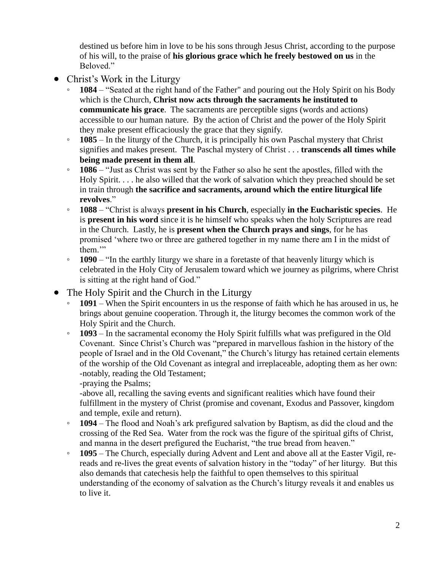destined us before him in love to be his sons through Jesus Christ, according to the purpose of his will, to the praise of **his glorious grace which he freely bestowed on us** in the Beloved."

- Christ's Work in the Liturgy
	- **1084** "Seated at the right hand of the Father" and pouring out the Holy Spirit on his Body which is the Church, **Christ now acts through the sacraments he instituted to communicate his grace**. The sacraments are perceptible signs (words and actions) accessible to our human nature. By the action of Christ and the power of the Holy Spirit they make present efficaciously the grace that they signify.
	- **1085** In the liturgy of the Church, it is principally his own Paschal mystery that Christ signifies and makes present. The Paschal mystery of Christ . . . **transcends all times while being made present in them all**.
	- **1086** "Just as Christ was sent by the Father so also he sent the apostles, filled with the Holy Spirit. . . . he also willed that the work of salvation which they preached should be set in train through **the sacrifice and sacraments, around which the entire liturgical life revolves**."
	- **1088** "Christ is always **present in his Church**, especially **in the Eucharistic species**. He is **present in his word** since it is he himself who speaks when the holy Scriptures are read in the Church. Lastly, he is **present when the Church prays and sings**, for he has promised 'where two or three are gathered together in my name there am I in the midst of them."
	- **1090** "In the earthly liturgy we share in a foretaste of that heavenly liturgy which is celebrated in the Holy City of Jerusalem toward which we journey as pilgrims, where Christ is sitting at the right hand of God."
- The Holy Spirit and the Church in the Liturgy
	- **1091** When the Spirit encounters in us the response of faith which he has aroused in us, he brings about genuine cooperation. Through it, the liturgy becomes the common work of the Holy Spirit and the Church.
	- **1093** In the sacramental economy the Holy Spirit fulfills what was prefigured in the Old Covenant. Since Christ's Church was "prepared in marvellous fashion in the history of the people of Israel and in the Old Covenant," the Church's liturgy has retained certain elements of the worship of the Old Covenant as integral and irreplaceable, adopting them as her own: -notably, reading the Old Testament;

-praying the Psalms;

-above all, recalling the saving events and significant realities which have found their fulfillment in the mystery of Christ (promise and covenant, Exodus and Passover, kingdom and temple, exile and return).

- **1094** The flood and Noah's ark prefigured salvation by Baptism, as did the cloud and the crossing of the Red Sea. Water from the rock was the figure of the spiritual gifts of Christ, and manna in the desert prefigured the Eucharist, "the true bread from heaven."
- **1095** The Church, especially during Advent and Lent and above all at the Easter Vigil, rereads and re-lives the great events of salvation history in the "today" of her liturgy. But this also demands that catechesis help the faithful to open themselves to this spiritual understanding of the economy of salvation as the Church's liturgy reveals it and enables us to live it.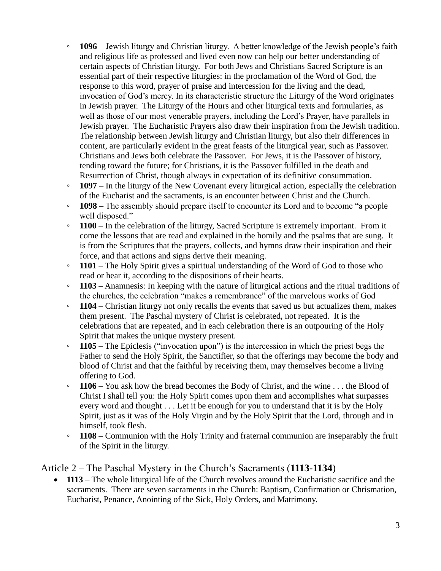- **1096** Jewish liturgy and Christian liturgy. A better knowledge of the Jewish people's faith and religious life as professed and lived even now can help our better understanding of certain aspects of Christian liturgy. For both Jews and Christians Sacred Scripture is an essential part of their respective liturgies: in the proclamation of the Word of God, the response to this word, prayer of praise and intercession for the living and the dead, invocation of God's mercy. In its characteristic structure the Liturgy of the Word originates in Jewish prayer. The Liturgy of the Hours and other liturgical texts and formularies, as well as those of our most venerable prayers, including the Lord's Prayer, have parallels in Jewish prayer. The Eucharistic Prayers also draw their inspiration from the Jewish tradition. The relationship between Jewish liturgy and Christian liturgy, but also their differences in content, are particularly evident in the great feasts of the liturgical year, such as Passover. Christians and Jews both celebrate the Passover. For Jews, it is the Passover of history, tending toward the future; for Christians, it is the Passover fulfilled in the death and Resurrection of Christ, though always in expectation of its definitive consummation.
- **1097** In the liturgy of the New Covenant every liturgical action, especially the celebration of the Eucharist and the sacraments, is an encounter between Christ and the Church.
- **1098** The assembly should prepare itself to encounter its Lord and to become "a people well disposed."
- **1100** In the celebration of the liturgy, Sacred Scripture is extremely important. From it come the lessons that are read and explained in the homily and the psalms that are sung. It is from the Scriptures that the prayers, collects, and hymns draw their inspiration and their force, and that actions and signs derive their meaning.
- **1101** The Holy Spirit gives a spiritual understanding of the Word of God to those who read or hear it, according to the dispositions of their hearts.
- **1103** Anamnesis: In keeping with the nature of liturgical actions and the ritual traditions of the churches, the celebration "makes a remembrance" of the marvelous works of God
- **1104** Christian liturgy not only recalls the events that saved us but actualizes them, makes them present. The Paschal mystery of Christ is celebrated, not repeated. It is the celebrations that are repeated, and in each celebration there is an outpouring of the Holy Spirit that makes the unique mystery present.
- **1105** The Epiclesis ("invocation upon") is the intercession in which the priest begs the Father to send the Holy Spirit, the Sanctifier, so that the offerings may become the body and blood of Christ and that the faithful by receiving them, may themselves become a living offering to God.
- **1106** You ask how the bread becomes the Body of Christ, and the wine . . . the Blood of Christ I shall tell you: the Holy Spirit comes upon them and accomplishes what surpasses every word and thought . . . Let it be enough for you to understand that it is by the Holy Spirit, just as it was of the Holy Virgin and by the Holy Spirit that the Lord, through and in himself, took flesh.
- **1108** Communion with the Holy Trinity and fraternal communion are inseparably the fruit of the Spirit in the liturgy.

#### Article 2 – The Paschal Mystery in the Church's Sacraments (**1113-1134**)

• **1113** – The whole liturgical life of the Church revolves around the Eucharistic sacrifice and the sacraments. There are seven sacraments in the Church: Baptism, Confirmation or Chrismation, Eucharist, Penance, Anointing of the Sick, Holy Orders, and Matrimony.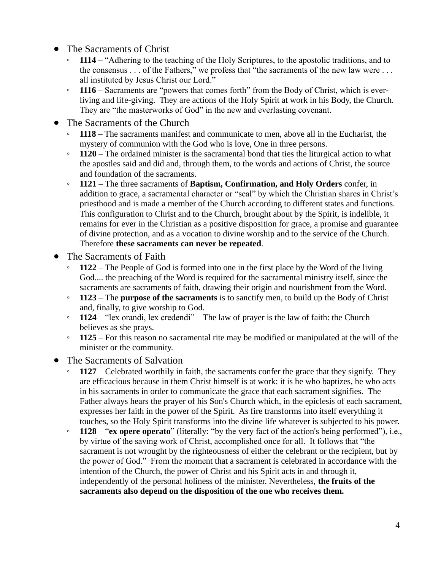- The Sacraments of Christ
	- **1114** "Adhering to the teaching of the Holy Scriptures, to the apostolic traditions, and to the consensus . . . of the Fathers," we profess that "the sacraments of the new law were . . . all instituted by Jesus Christ our Lord."
	- **1116** Sacraments are "powers that comes forth" from the Body of Christ, which is everliving and life-giving. They are actions of the Holy Spirit at work in his Body, the Church. They are "the masterworks of God" in the new and everlasting covenant.
- The Sacraments of the Church
	- **1118** The sacraments manifest and communicate to men, above all in the Eucharist, the mystery of communion with the God who is love, One in three persons.
	- **1120** The ordained minister is the sacramental bond that ties the liturgical action to what the apostles said and did and, through them, to the words and actions of Christ, the source and foundation of the sacraments.
	- **1121** The three sacraments of **Baptism, Confirmation, and Holy Orders** confer, in addition to grace, a sacramental character or "seal" by which the Christian shares in Christ's priesthood and is made a member of the Church according to different states and functions. This configuration to Christ and to the Church, brought about by the Spirit, is indelible, it remains for ever in the Christian as a positive disposition for grace, a promise and guarantee of divine protection, and as a vocation to divine worship and to the service of the Church. Therefore **these sacraments can never be repeated**.
- The Sacraments of Faith
	- **1122** The People of God is formed into one in the first place by the Word of the living God.... the preaching of the Word is required for the sacramental ministry itself, since the sacraments are sacraments of faith, drawing their origin and nourishment from the Word.
	- **1123** The **purpose of the sacraments** is to sanctify men, to build up the Body of Christ and, finally, to give worship to God.
	- **1124** "lex orandi, lex credendi" The law of prayer is the law of faith: the Church believes as she prays.
	- **1125** For this reason no sacramental rite may be modified or manipulated at the will of the minister or the community.
- The Sacraments of Salvation
	- **1127** Celebrated worthily in faith, the sacraments confer the grace that they signify. They are efficacious because in them Christ himself is at work: it is he who baptizes, he who acts in his sacraments in order to communicate the grace that each sacrament signifies. The Father always hears the prayer of his Son's Church which, in the epiclesis of each sacrament, expresses her faith in the power of the Spirit. As fire transforms into itself everything it touches, so the Holy Spirit transforms into the divine life whatever is subjected to his power.
	- **1128** "**ex opere operato**" (literally: "by the very fact of the action's being performed"), i.e., by virtue of the saving work of Christ, accomplished once for all. It follows that "the sacrament is not wrought by the righteousness of either the celebrant or the recipient, but by the power of God." From the moment that a sacrament is celebrated in accordance with the intention of the Church, the power of Christ and his Spirit acts in and through it, independently of the personal holiness of the minister. Nevertheless, **the fruits of the sacraments also depend on the disposition of the one who receives them.**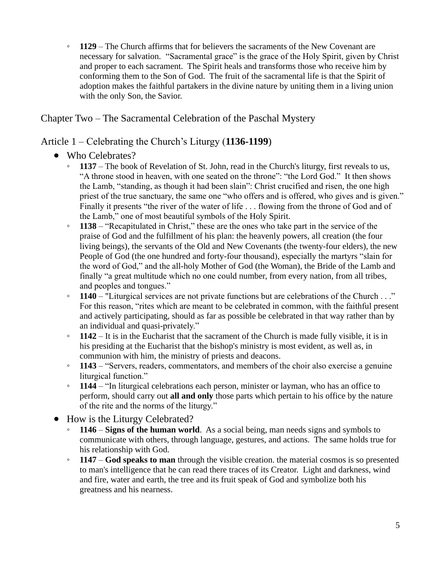◦ **1129** – The Church affirms that for believers the sacraments of the New Covenant are necessary for salvation. "Sacramental grace" is the grace of the Holy Spirit, given by Christ and proper to each sacrament. The Spirit heals and transforms those who receive him by conforming them to the Son of God. The fruit of the sacramental life is that the Spirit of adoption makes the faithful partakers in the divine nature by uniting them in a living union with the only Son, the Savior.

## Chapter Two – The Sacramental Celebration of the Paschal Mystery

## Article 1 – Celebrating the Church's Liturgy (**1136-1199**)

- Who Celebrates?
	- **1137** The book of Revelation of St. John, read in the Church's liturgy, first reveals to us, "A throne stood in heaven, with one seated on the throne": "the Lord God." It then shows the Lamb, "standing, as though it had been slain": Christ crucified and risen, the one high priest of the true sanctuary, the same one "who offers and is offered, who gives and is given." Finally it presents "the river of the water of life . . . flowing from the throne of God and of the Lamb," one of most beautiful symbols of the Holy Spirit.
	- **1138** "Recapitulated in Christ," these are the ones who take part in the service of the praise of God and the fulfillment of his plan: the heavenly powers, all creation (the four living beings), the servants of the Old and New Covenants (the twenty-four elders), the new People of God (the one hundred and forty-four thousand), especially the martyrs "slain for the word of God," and the all-holy Mother of God (the Woman), the Bride of the Lamb and finally "a great multitude which no one could number, from every nation, from all tribes, and peoples and tongues."
	- **1140** "Liturgical services are not private functions but are celebrations of the Church . . ." For this reason, "rites which are meant to be celebrated in common, with the faithful present and actively participating, should as far as possible be celebrated in that way rather than by an individual and quasi-privately."
	- **1142** It is in the Eucharist that the sacrament of the Church is made fully visible, it is in his presiding at the Eucharist that the bishop's ministry is most evident, as well as, in communion with him, the ministry of priests and deacons.
	- **1143** "Servers, readers, commentators, and members of the choir also exercise a genuine liturgical function."
	- **1144** "In liturgical celebrations each person, minister or layman, who has an office to perform, should carry out **all and only** those parts which pertain to his office by the nature of the rite and the norms of the liturgy."
- How is the Liturgy Celebrated?
	- **1146 Signs of the human world**. As a social being, man needs signs and symbols to communicate with others, through language, gestures, and actions. The same holds true for his relationship with God.
	- **1147 God speaks to man** through the visible creation. the material cosmos is so presented to man's intelligence that he can read there traces of its Creator. Light and darkness, wind and fire, water and earth, the tree and its fruit speak of God and symbolize both his greatness and his nearness.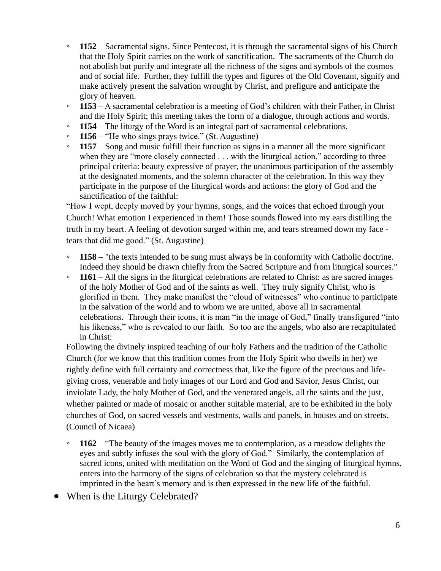- **1152** Sacramental signs. Since Pentecost, it is through the sacramental signs of his Church that the Holy Spirit carries on the work of sanctification. The sacraments of the Church do not abolish but purify and integrate all the richness of the signs and symbols of the cosmos and of social life. Further, they fulfill the types and figures of the Old Covenant, signify and make actively present the salvation wrought by Christ, and prefigure and anticipate the glory of heaven.
- **1153** A sacramental celebration is a meeting of God's children with their Father, in Christ and the Holy Spirit; this meeting takes the form of a dialogue, through actions and words.
- **1154** The liturgy of the Word is an integral part of sacramental celebrations.
- **1156** "He who sings prays twice." (St. Augustine)
- **1157** Song and music fulfill their function as signs in a manner all the more significant when they are "more closely connected . . . with the liturgical action," according to three principal criteria: beauty expressive of prayer, the unanimous participation of the assembly at the designated moments, and the solemn character of the celebration. In this way they participate in the purpose of the liturgical words and actions: the glory of God and the sanctification of the faithful:

"How I wept, deeply moved by your hymns, songs, and the voices that echoed through your Church! What emotion I experienced in them! Those sounds flowed into my ears distilling the truth in my heart. A feeling of devotion surged within me, and tears streamed down my face tears that did me good." (St. Augustine)

- **1158** "the texts intended to be sung must always be in conformity with Catholic doctrine. Indeed they should be drawn chiefly from the Sacred Scripture and from liturgical sources."
- **1161** All the signs in the liturgical celebrations are related to Christ: as are sacred images of the holy Mother of God and of the saints as well. They truly signify Christ, who is glorified in them. They make manifest the "cloud of witnesses" who continue to participate in the salvation of the world and to whom we are united, above all in sacramental celebrations. Through their icons, it is man "in the image of God," finally transfigured "into his likeness," who is revealed to our faith. So too are the angels, who also are recapitulated in Christ:

Following the divinely inspired teaching of our holy Fathers and the tradition of the Catholic Church (for we know that this tradition comes from the Holy Spirit who dwells in her) we rightly define with full certainty and correctness that, like the figure of the precious and lifegiving cross, venerable and holy images of our Lord and God and Savior, Jesus Christ, our inviolate Lady, the holy Mother of God, and the venerated angels, all the saints and the just, whether painted or made of mosaic or another suitable material, are to be exhibited in the holy churches of God, on sacred vessels and vestments, walls and panels, in houses and on streets. (Council of Nicaea)

- **1162** "The beauty of the images moves me to contemplation, as a meadow delights the eyes and subtly infuses the soul with the glory of God." Similarly, the contemplation of sacred icons, united with meditation on the Word of God and the singing of liturgical hymns, enters into the harmony of the signs of celebration so that the mystery celebrated is imprinted in the heart's memory and is then expressed in the new life of the faithful.
- When is the Liturgy Celebrated?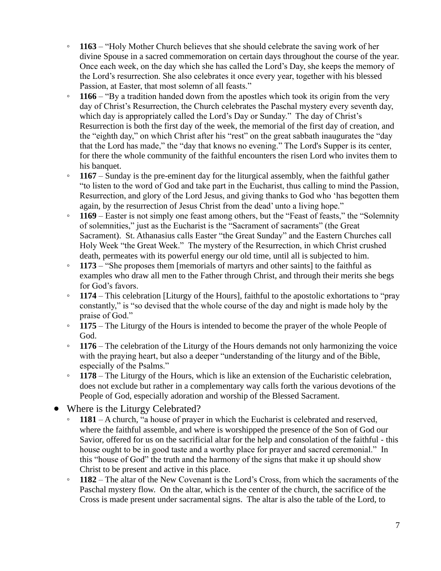- **1163** "Holy Mother Church believes that she should celebrate the saving work of her divine Spouse in a sacred commemoration on certain days throughout the course of the year. Once each week, on the day which she has called the Lord's Day, she keeps the memory of the Lord's resurrection. She also celebrates it once every year, together with his blessed Passion, at Easter, that most solemn of all feasts."
- **1166** "By a tradition handed down from the apostles which took its origin from the very day of Christ's Resurrection, the Church celebrates the Paschal mystery every seventh day, which day is appropriately called the Lord's Day or Sunday." The day of Christ's Resurrection is both the first day of the week, the memorial of the first day of creation, and the "eighth day," on which Christ after his "rest" on the great sabbath inaugurates the "day that the Lord has made," the "day that knows no evening." The Lord's Supper is its center, for there the whole community of the faithful encounters the risen Lord who invites them to his banquet.
- **1167** Sunday is the pre-eminent day for the liturgical assembly, when the faithful gather "to listen to the word of God and take part in the Eucharist, thus calling to mind the Passion, Resurrection, and glory of the Lord Jesus, and giving thanks to God who 'has begotten them again, by the resurrection of Jesus Christ from the dead' unto a living hope."
- **1169** Easter is not simply one feast among others, but the "Feast of feasts," the "Solemnity of solemnities," just as the Eucharist is the "Sacrament of sacraments" (the Great Sacrament). St. Athanasius calls Easter "the Great Sunday" and the Eastern Churches call Holy Week "the Great Week." The mystery of the Resurrection, in which Christ crushed death, permeates with its powerful energy our old time, until all is subjected to him.
- **1173** "She proposes them [memorials of martyrs and other saints] to the faithful as examples who draw all men to the Father through Christ, and through their merits she begs for God's favors.
- **1174** This celebration [Liturgy of the Hours], faithful to the apostolic exhortations to "pray constantly," is "so devised that the whole course of the day and night is made holy by the praise of God."
- **1175** The Liturgy of the Hours is intended to become the prayer of the whole People of God.
- **1176** The celebration of the Liturgy of the Hours demands not only harmonizing the voice with the praying heart, but also a deeper "understanding of the liturgy and of the Bible, especially of the Psalms."
- **1178** The Liturgy of the Hours, which is like an extension of the Eucharistic celebration, does not exclude but rather in a complementary way calls forth the various devotions of the People of God, especially adoration and worship of the Blessed Sacrament.
- Where is the Liturgy Celebrated?
	- **1181** A church, "a house of prayer in which the Eucharist is celebrated and reserved, where the faithful assemble, and where is worshipped the presence of the Son of God our Savior, offered for us on the sacrificial altar for the help and consolation of the faithful - this house ought to be in good taste and a worthy place for prayer and sacred ceremonial." In this "house of God" the truth and the harmony of the signs that make it up should show Christ to be present and active in this place.
	- **1182** The altar of the New Covenant is the Lord's Cross, from which the sacraments of the Paschal mystery flow. On the altar, which is the center of the church, the sacrifice of the Cross is made present under sacramental signs. The altar is also the table of the Lord, to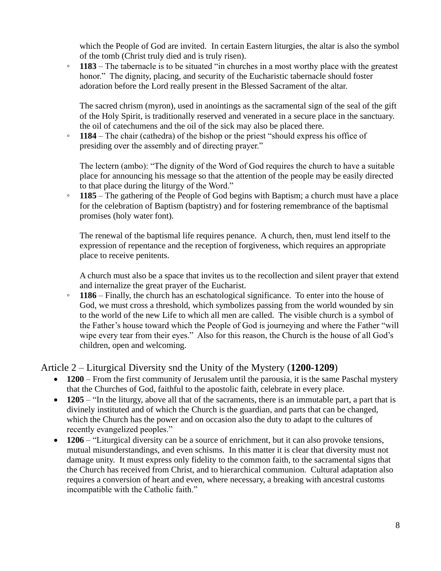which the People of God are invited. In certain Eastern liturgies, the altar is also the symbol of the tomb (Christ truly died and is truly risen).

◦ **1183** – The tabernacle is to be situated "in churches in a most worthy place with the greatest honor." The dignity, placing, and security of the Eucharistic tabernacle should foster adoration before the Lord really present in the Blessed Sacrament of the altar.

The sacred chrism (myron), used in anointings as the sacramental sign of the seal of the gift of the Holy Spirit, is traditionally reserved and venerated in a secure place in the sanctuary. the oil of catechumens and the oil of the sick may also be placed there.

◦ **1184** – The chair (cathedra) of the bishop or the priest "should express his office of presiding over the assembly and of directing prayer."

The lectern (ambo): "The dignity of the Word of God requires the church to have a suitable place for announcing his message so that the attention of the people may be easily directed to that place during the liturgy of the Word."

◦ **1185** – The gathering of the People of God begins with Baptism; a church must have a place for the celebration of Baptism (baptistry) and for fostering remembrance of the baptismal promises (holy water font).

The renewal of the baptismal life requires penance. A church, then, must lend itself to the expression of repentance and the reception of forgiveness, which requires an appropriate place to receive penitents.

A church must also be a space that invites us to the recollection and silent prayer that extend and internalize the great prayer of the Eucharist.

◦ **1186** – Finally, the church has an eschatological significance. To enter into the house of God, we must cross a threshold, which symbolizes passing from the world wounded by sin to the world of the new Life to which all men are called. The visible church is a symbol of the Father's house toward which the People of God is journeying and where the Father "will wipe every tear from their eyes." Also for this reason, the Church is the house of all God's children, open and welcoming.

#### Article 2 – Liturgical Diversity snd the Unity of the Mystery (**1200-1209**)

- **1200** From the first community of Jerusalem until the parousia, it is the same Paschal mystery that the Churches of God, faithful to the apostolic faith, celebrate in every place.
- **1205** "In the liturgy, above all that of the sacraments, there is an immutable part, a part that is divinely instituted and of which the Church is the guardian, and parts that can be changed, which the Church has the power and on occasion also the duty to adapt to the cultures of recently evangelized peoples."
- **1206** "Liturgical diversity can be a source of enrichment, but it can also provoke tensions, mutual misunderstandings, and even schisms. In this matter it is clear that diversity must not damage unity. It must express only fidelity to the common faith, to the sacramental signs that the Church has received from Christ, and to hierarchical communion. Cultural adaptation also requires a conversion of heart and even, where necessary, a breaking with ancestral customs incompatible with the Catholic faith."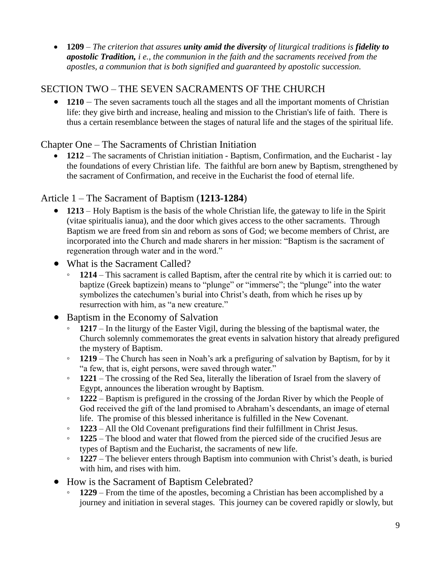• **1209** – *The criterion that assures unity amid the diversity of liturgical traditions is fidelity to apostolic Tradition, i e., the communion in the faith and the sacraments received from the apostles, a communion that is both signified and guaranteed by apostolic succession.*

## SECTION TWO – THE SEVEN SACRAMENTS OF THE CHURCH

• **1210** – The seven sacraments touch all the stages and all the important moments of Christian life: they give birth and increase, healing and mission to the Christian's life of faith. There is thus a certain resemblance between the stages of natural life and the stages of the spiritual life.

## Chapter One – The Sacraments of Christian Initiation

• **1212** – The sacraments of Christian initiation - Baptism, Confirmation, and the Eucharist - lay the foundations of every Christian life. The faithful are born anew by Baptism, strengthened by the sacrament of Confirmation, and receive in the Eucharist the food of eternal life.

## Article 1 – The Sacrament of Baptism (**1213-1284**)

- **1213** Holy Baptism is the basis of the whole Christian life, the gateway to life in the Spirit (vitae spiritualis ianua), and the door which gives access to the other sacraments. Through Baptism we are freed from sin and reborn as sons of God; we become members of Christ, are incorporated into the Church and made sharers in her mission: "Baptism is the sacrament of regeneration through water and in the word."
- What is the Sacrament Called?
	- **1214** This sacrament is called Baptism, after the central rite by which it is carried out: to baptize (Greek baptizein) means to "plunge" or "immerse"; the "plunge" into the water symbolizes the catechumen's burial into Christ's death, from which he rises up by resurrection with him, as "a new creature."
- Baptism in the Economy of Salvation
	- **1217** In the liturgy of the Easter Vigil, during the blessing of the baptismal water, the Church solemnly commemorates the great events in salvation history that already prefigured the mystery of Baptism.
	- **1219** The Church has seen in Noah's ark a prefiguring of salvation by Baptism, for by it "a few, that is, eight persons, were saved through water."
	- **1221** The crossing of the Red Sea, literally the liberation of Israel from the slavery of Egypt, announces the liberation wrought by Baptism.
	- **1222** Baptism is prefigured in the crossing of the Jordan River by which the People of God received the gift of the land promised to Abraham's descendants, an image of eternal life. The promise of this blessed inheritance is fulfilled in the New Covenant.
	- **1223** All the Old Covenant prefigurations find their fulfillment in Christ Jesus.
	- **1225** The blood and water that flowed from the pierced side of the crucified Jesus are types of Baptism and the Eucharist, the sacraments of new life.
	- **1227** The believer enters through Baptism into communion with Christ's death, is buried with him, and rises with him.
- How is the Sacrament of Baptism Celebrated?
	- **1229** From the time of the apostles, becoming a Christian has been accomplished by a journey and initiation in several stages. This journey can be covered rapidly or slowly, but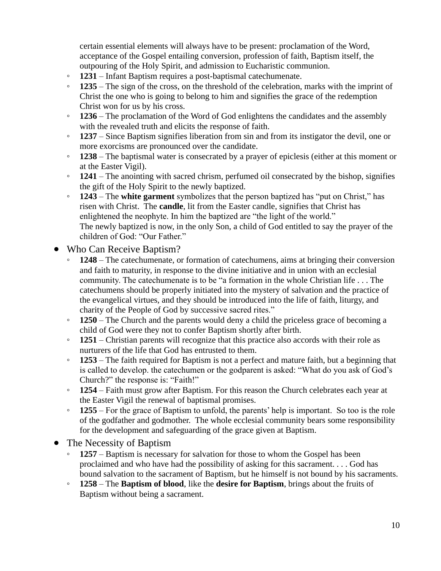certain essential elements will always have to be present: proclamation of the Word, acceptance of the Gospel entailing conversion, profession of faith, Baptism itself, the outpouring of the Holy Spirit, and admission to Eucharistic communion.

- **1231** Infant Baptism requires a post-baptismal catechumenate.
- **1235** The sign of the cross, on the threshold of the celebration, marks with the imprint of Christ the one who is going to belong to him and signifies the grace of the redemption Christ won for us by his cross.
- **1236** The proclamation of the Word of God enlightens the candidates and the assembly with the revealed truth and elicits the response of faith.
- **1237** Since Baptism signifies liberation from sin and from its instigator the devil, one or more exorcisms are pronounced over the candidate.
- **1238** The baptismal water is consecrated by a prayer of epiclesis (either at this moment or at the Easter Vigil).
- **1241** The anointing with sacred chrism, perfumed oil consecrated by the bishop, signifies the gift of the Holy Spirit to the newly baptized.
- **1243** The **white garment** symbolizes that the person baptized has "put on Christ," has risen with Christ. The **candle**, lit from the Easter candle, signifies that Christ has enlightened the neophyte. In him the baptized are "the light of the world." The newly baptized is now, in the only Son, a child of God entitled to say the prayer of the children of God: "Our Father."
- Who Can Receive Baptism?
	- **1248** The catechumenate, or formation of catechumens, aims at bringing their conversion and faith to maturity, in response to the divine initiative and in union with an ecclesial community. The catechumenate is to be "a formation in the whole Christian life . . . The catechumens should be properly initiated into the mystery of salvation and the practice of the evangelical virtues, and they should be introduced into the life of faith, liturgy, and charity of the People of God by successive sacred rites."
	- **1250** The Church and the parents would deny a child the priceless grace of becoming a child of God were they not to confer Baptism shortly after birth.
	- **1251** Christian parents will recognize that this practice also accords with their role as nurturers of the life that God has entrusted to them.
	- **1253** The faith required for Baptism is not a perfect and mature faith, but a beginning that is called to develop. the catechumen or the godparent is asked: "What do you ask of God's Church?" the response is: "Faith!"
	- **1254** Faith must grow after Baptism. For this reason the Church celebrates each year at the Easter Vigil the renewal of baptismal promises.
	- **1255** For the grace of Baptism to unfold, the parents' help is important. So too is the role of the godfather and godmother. The whole ecclesial community bears some responsibility for the development and safeguarding of the grace given at Baptism.
- The Necessity of Baptism
	- **1257** Baptism is necessary for salvation for those to whom the Gospel has been proclaimed and who have had the possibility of asking for this sacrament. . . . God has bound salvation to the sacrament of Baptism, but he himself is not bound by his sacraments.
	- **1258** The **Baptism of blood**, like the **desire for Baptism**, brings about the fruits of Baptism without being a sacrament.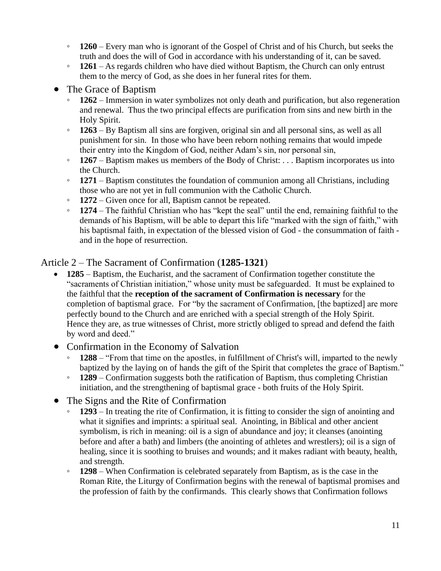- **1260** Every man who is ignorant of the Gospel of Christ and of his Church, but seeks the truth and does the will of God in accordance with his understanding of it, can be saved.
- **1261** As regards children who have died without Baptism, the Church can only entrust them to the mercy of God, as she does in her funeral rites for them.
- The Grace of Baptism
	- **1262** Immersion in water symbolizes not only death and purification, but also regeneration and renewal. Thus the two principal effects are purification from sins and new birth in the Holy Spirit.
	- **1263** By Baptism all sins are forgiven, original sin and all personal sins, as well as all punishment for sin. In those who have been reborn nothing remains that would impede their entry into the Kingdom of God, neither Adam's sin, nor personal sin,
	- **1267** Baptism makes us members of the Body of Christ: . . . Baptism incorporates us into the Church.
	- **1271** Baptism constitutes the foundation of communion among all Christians, including those who are not yet in full communion with the Catholic Church.
	- **1272** Given once for all, Baptism cannot be repeated.
	- **1274** The faithful Christian who has "kept the seal" until the end, remaining faithful to the demands of his Baptism, will be able to depart this life "marked with the sign of faith," with his baptismal faith, in expectation of the blessed vision of God - the consummation of faith and in the hope of resurrection.

## Article 2 – The Sacrament of Confirmation (**1285-1321**)

- **1285** Baptism, the Eucharist, and the sacrament of Confirmation together constitute the "sacraments of Christian initiation," whose unity must be safeguarded. It must be explained to the faithful that the **reception of the sacrament of Confirmation is necessary** for the completion of baptismal grace. For "by the sacrament of Confirmation, [the baptized] are more perfectly bound to the Church and are enriched with a special strength of the Holy Spirit. Hence they are, as true witnesses of Christ, more strictly obliged to spread and defend the faith by word and deed."
- Confirmation in the Economy of Salvation
	- **1288** "From that time on the apostles, in fulfillment of Christ's will, imparted to the newly baptized by the laying on of hands the gift of the Spirit that completes the grace of Baptism."
	- **1289** Confirmation suggests both the ratification of Baptism, thus completing Christian initiation, and the strengthening of baptismal grace - both fruits of the Holy Spirit.
- The Signs and the Rite of Confirmation
	- **1293** In treating the rite of Confirmation, it is fitting to consider the sign of anointing and what it signifies and imprints: a spiritual seal. Anointing, in Biblical and other ancient symbolism, is rich in meaning: oil is a sign of abundance and joy; it cleanses (anointing before and after a bath) and limbers (the anointing of athletes and wrestlers); oil is a sign of healing, since it is soothing to bruises and wounds; and it makes radiant with beauty, health, and strength.
	- **1298** When Confirmation is celebrated separately from Baptism, as is the case in the Roman Rite, the Liturgy of Confirmation begins with the renewal of baptismal promises and the profession of faith by the confirmands. This clearly shows that Confirmation follows